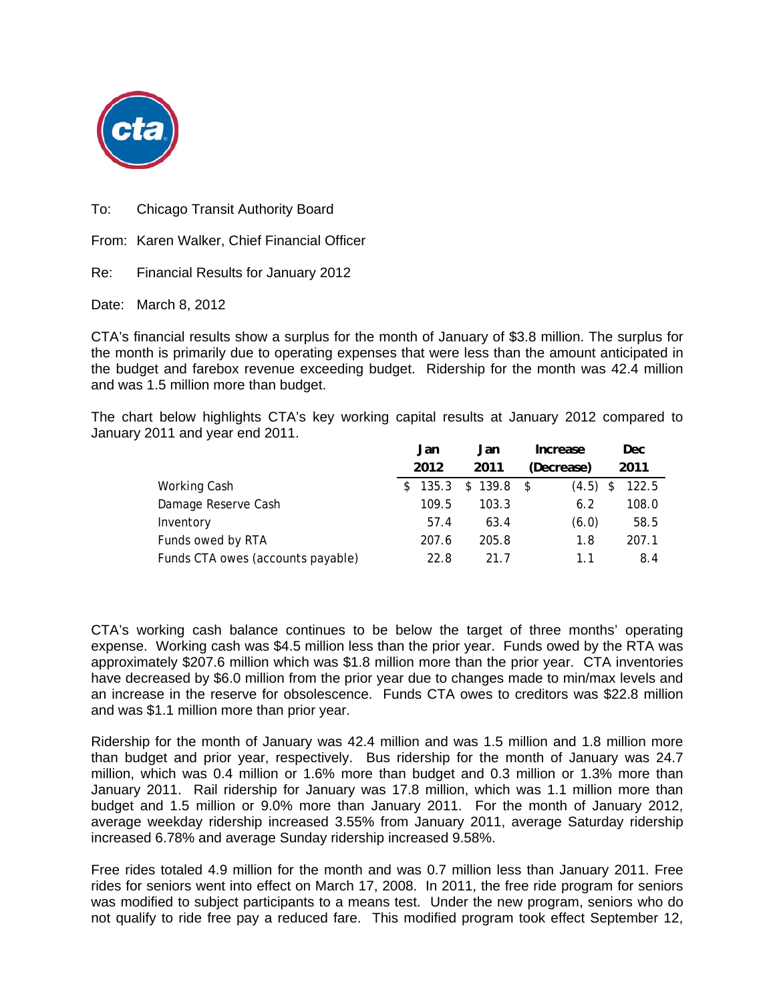

To: Chicago Transit Authority Board

From: Karen Walker, Chief Financial Officer

Re: Financial Results for January 2012

Date: March 8, 2012

CTA's financial results show a surplus for the month of January of \$3.8 million. The surplus for the month is primarily due to operating expenses that were less than the amount anticipated in the budget and farebox revenue exceeding budget. Ridership for the month was 42.4 million and was 1.5 million more than budget.

The chart below highlights CTA's key working capital results at January 2012 compared to January 2011 and year end 2011.

|                                   | Jan   | Jan         | Increase   | Dec.        |
|-----------------------------------|-------|-------------|------------|-------------|
|                                   | 2012  | 2011        | (Decrease) | 2011        |
| Working Cash                      | 135.3 | $$139.8$ \$ | (4.5)      | 122.5<br>\$ |
| Damage Reserve Cash               | 109.5 | 103.3       | 6.2        | 108.0       |
| Inventory                         | 57.4  | 63.4        | (6.0)      | 58.5        |
| Funds owed by RTA                 | 207.6 | 205.8       | 1.8        | 207.1       |
| Funds CTA owes (accounts payable) | 22.8  | 21.7        | 11         | 8.4         |

CTA's working cash balance continues to be below the target of three months' operating expense. Working cash was \$4.5 million less than the prior year. Funds owed by the RTA was approximately \$207.6 million which was \$1.8 million more than the prior year. CTA inventories have decreased by \$6.0 million from the prior year due to changes made to min/max levels and an increase in the reserve for obsolescence. Funds CTA owes to creditors was \$22.8 million and was \$1.1 million more than prior year.

Ridership for the month of January was 42.4 million and was 1.5 million and 1.8 million more than budget and prior year, respectively. Bus ridership for the month of January was 24.7 million, which was 0.4 million or 1.6% more than budget and 0.3 million or 1.3% more than January 2011. Rail ridership for January was 17.8 million, which was 1.1 million more than budget and 1.5 million or 9.0% more than January 2011. For the month of January 2012, average weekday ridership increased 3.55% from January 2011, average Saturday ridership increased 6.78% and average Sunday ridership increased 9.58%.

Free rides totaled 4.9 million for the month and was 0.7 million less than January 2011. Free rides for seniors went into effect on March 17, 2008. In 2011, the free ride program for seniors was modified to subject participants to a means test. Under the new program, seniors who do not qualify to ride free pay a reduced fare. This modified program took effect September 12,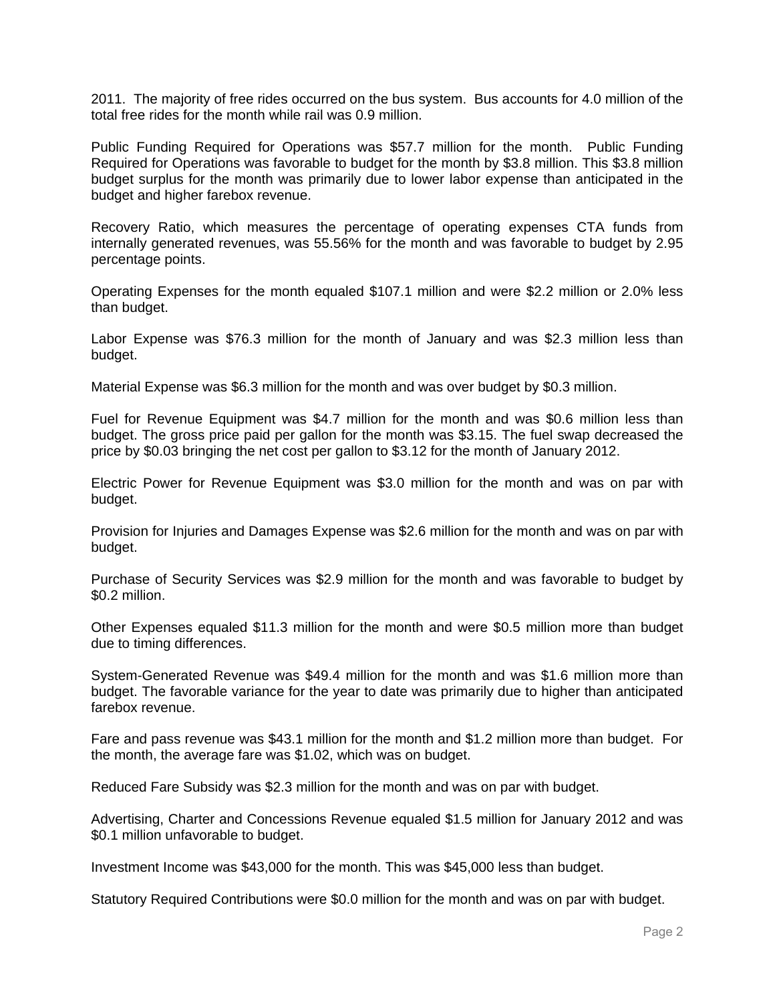2011. The majority of free rides occurred on the bus system. Bus accounts for 4.0 million of the total free rides for the month while rail was 0.9 million.

Public Funding Required for Operations was \$57.7 million for the month. Public Funding Required for Operations was favorable to budget for the month by \$3.8 million. This \$3.8 million budget surplus for the month was primarily due to lower labor expense than anticipated in the budget and higher farebox revenue.

Recovery Ratio, which measures the percentage of operating expenses CTA funds from internally generated revenues, was 55.56% for the month and was favorable to budget by 2.95 percentage points.

Operating Expenses for the month equaled \$107.1 million and were \$2.2 million or 2.0% less than budget.

Labor Expense was \$76.3 million for the month of January and was \$2.3 million less than budget.

Material Expense was \$6.3 million for the month and was over budget by \$0.3 million.

Fuel for Revenue Equipment was \$4.7 million for the month and was \$0.6 million less than budget. The gross price paid per gallon for the month was \$3.15. The fuel swap decreased the price by \$0.03 bringing the net cost per gallon to \$3.12 for the month of January 2012.

Electric Power for Revenue Equipment was \$3.0 million for the month and was on par with budget.

Provision for Injuries and Damages Expense was \$2.6 million for the month and was on par with budget.

Purchase of Security Services was \$2.9 million for the month and was favorable to budget by \$0.2 million.

Other Expenses equaled \$11.3 million for the month and were \$0.5 million more than budget due to timing differences.

System-Generated Revenue was \$49.4 million for the month and was \$1.6 million more than budget. The favorable variance for the year to date was primarily due to higher than anticipated farebox revenue.

Fare and pass revenue was \$43.1 million for the month and \$1.2 million more than budget. For the month, the average fare was \$1.02, which was on budget.

Reduced Fare Subsidy was \$2.3 million for the month and was on par with budget.

Advertising, Charter and Concessions Revenue equaled \$1.5 million for January 2012 and was \$0.1 million unfavorable to budget.

Investment Income was \$43,000 for the month. This was \$45,000 less than budget.

Statutory Required Contributions were \$0.0 million for the month and was on par with budget.